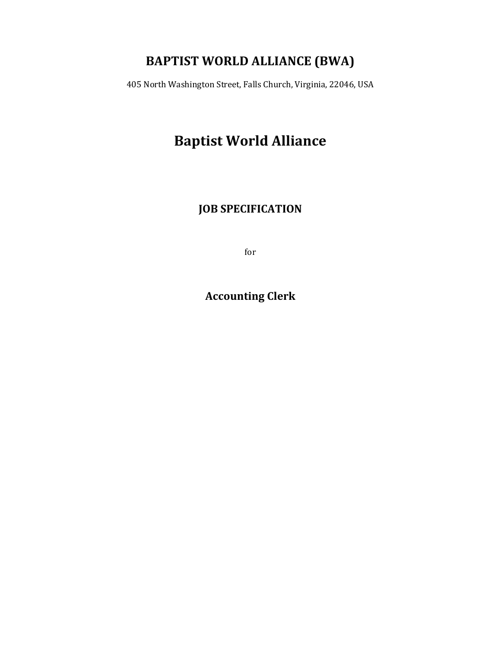## **BAPTIST WORLD ALLIANCE (BWA)**

405 North Washington Street, Falls Church, Virginia, 22046, USA

# **Baptist World Alliance**

**JOB SPECIFICATION** 

for

**Accounting Clerk**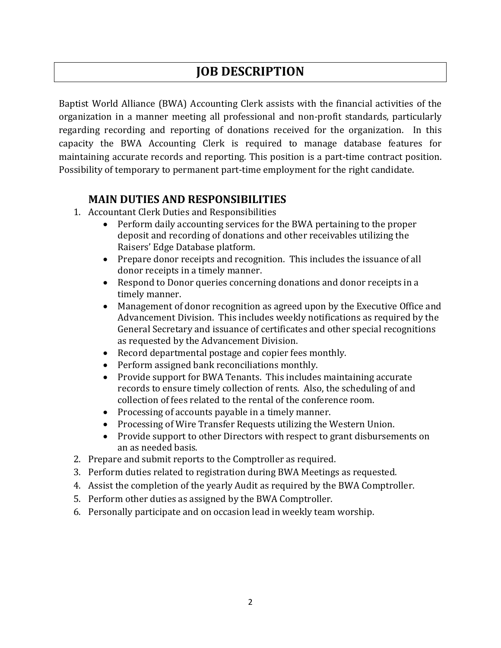### **JOB DESCRIPTION**

Baptist World Alliance (BWA) Accounting Clerk assists with the financial activities of the organization in a manner meeting all professional and non-profit standards, particularly regarding recording and reporting of donations received for the organization. In this capacity the BWA Accounting Clerk is required to manage database features for maintaining accurate records and reporting. This position is a part-time contract position. Possibility of temporary to permanent part-time employment for the right candidate.

### **MAIN DUTIES AND RESPONSIBILITIES**

- 1. Accountant Clerk Duties and Responsibilities
	- Perform daily accounting services for the BWA pertaining to the proper deposit and recording of donations and other receivables utilizing the Raisers' Edge Database platform.
	- Prepare donor receipts and recognition. This includes the issuance of all donor receipts in a timely manner.
	- Respond to Donor queries concerning donations and donor receipts in a timely manner.
	- Management of donor recognition as agreed upon by the Executive Office and Advancement Division. This includes weekly notifications as required by the General Secretary and issuance of certificates and other special recognitions as requested by the Advancement Division.
	- Record departmental postage and copier fees monthly.
	- Perform assigned bank reconciliations monthly.
	- Provide support for BWA Tenants. This includes maintaining accurate records to ensure timely collection of rents. Also, the scheduling of and collection of fees related to the rental of the conference room.
	- Processing of accounts payable in a timely manner.
	- Processing of Wire Transfer Requests utilizing the Western Union.
	- Provide support to other Directors with respect to grant disbursements on an as needed basis.
- 2. Prepare and submit reports to the Comptroller as required.
- 3. Perform duties related to registration during BWA Meetings as requested.
- 4. Assist the completion of the yearly Audit as required by the BWA Comptroller.
- 5. Perform other duties as assigned by the BWA Comptroller.
- 6. Personally participate and on occasion lead in weekly team worship.